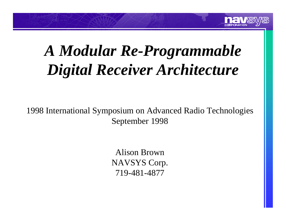

# *A Modular Re-Programmable Digital Receiver Architecture*

1998 International Symposium on Advanced Radio Technologies September 1998

> Alison Brown NAVSYS Corp. 719-481-4877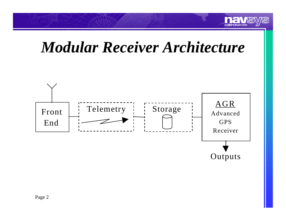

### *Modular Receiver Architecture*

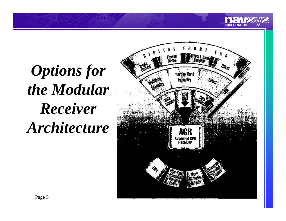



**THE** CORPORATION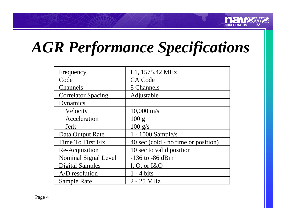

# *AGR Performance Specifications*

| Frequency                 | L1, 1575.42 MHz                     |
|---------------------------|-------------------------------------|
| Code                      | <b>CA Code</b>                      |
| Channels                  | 8 Channels                          |
| <b>Correlator Spacing</b> | Adjustable                          |
| Dynamics                  |                                     |
| Velocity                  | $10,000 \text{ m/s}$                |
| Acceleration              | 100 g                               |
| Jerk                      | $100 \text{ g/s}$                   |
| Data Output Rate          | 1 - 1000 Sample/s                   |
| Time To First Fix         | 40 sec (cold - no time or position) |
| Re-Acquisition            | 10 sec to valid position            |
| Nominal Signal Level      | $-136$ to $-86$ dBm                 |
| <b>Digital Samples</b>    | I, Q, or $I\&Q$                     |
| A/D resolution            | - 4 bits                            |
| Sample Rate               | $2 - 25$ MHz                        |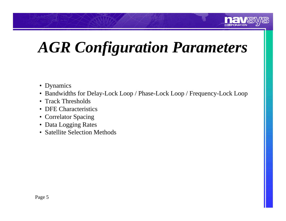

# *AGR Configuration Parameters*

- Dynamics
- Bandwidths for Delay-Lock Loop / Phase-Lock Loop / Frequency-Lock Loop
- Track Thresholds
- DFE Characteristics
- Correlator Spacing
- Data Logging Rates
- Satellite Selection Methods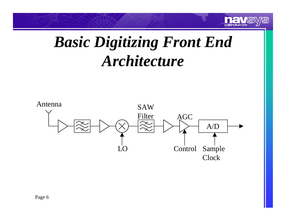

## *Basic Digitizing Front End Architecture*

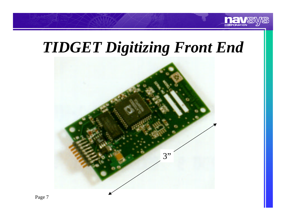

#### *TIDGET Digitizing Front End*

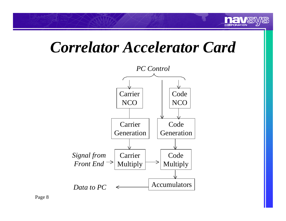

#### *Correlator Accelerator Card*

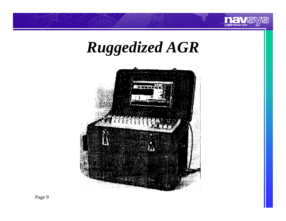

# *Ruggedized AGR*